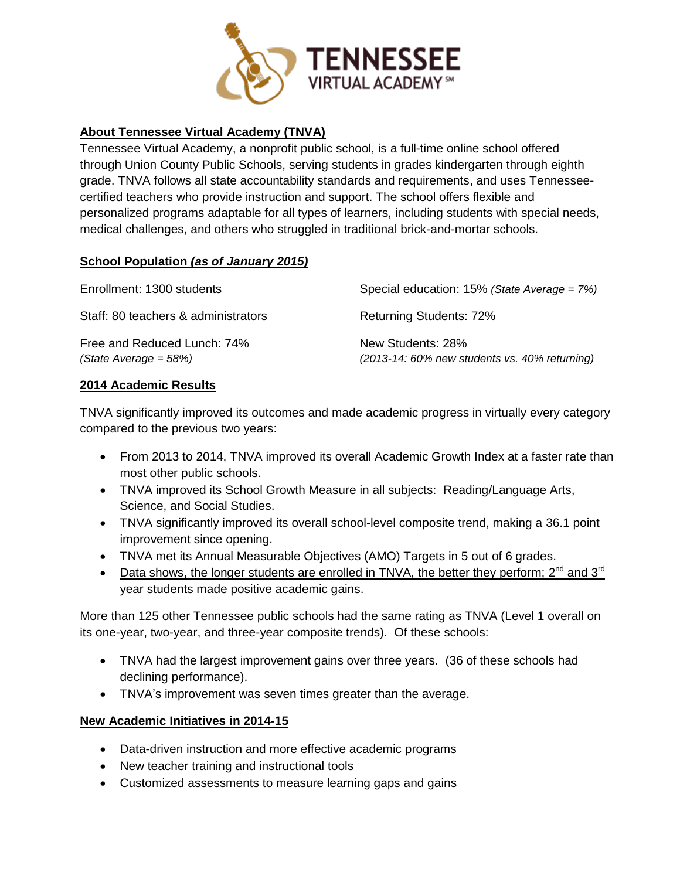

# **About Tennessee Virtual Academy (TNVA)**

Tennessee Virtual Academy, a nonprofit public school, is a full-time online school offered through Union County Public Schools, serving students in grades kindergarten through eighth grade. TNVA follows all state accountability standards and requirements, and uses Tennesseecertified teachers who provide instruction and support. The school offers flexible and personalized programs adaptable for all types of learners, including students with special needs, medical challenges, and others who struggled in traditional brick-and-mortar schools.

# **School Population** *(as of January 2015)*

| Enrollment: 1300 students                              | Special education: $15\%$ (State Average = $7\%)$                    |
|--------------------------------------------------------|----------------------------------------------------------------------|
| Staff: 80 teachers & administrators                    | <b>Returning Students: 72%</b>                                       |
| Free and Reduced Lunch: 74%<br>$(State Average = 58%)$ | New Students: 28%<br>$(2013-14:60\%$ new students vs. 40% returning) |

#### **2014 Academic Results**

TNVA significantly improved its outcomes and made academic progress in virtually every category compared to the previous two years:

- From 2013 to 2014, TNVA improved its overall Academic Growth Index at a faster rate than most other public schools.
- TNVA improved its School Growth Measure in all subjects: Reading/Language Arts, Science, and Social Studies.
- TNVA significantly improved its overall school-level composite trend, making a 36.1 point improvement since opening.
- TNVA met its Annual Measurable Objectives (AMO) Targets in 5 out of 6 grades.
- Data shows, the longer students are enrolled in TNVA, the better they perform;  $2^{nd}$  and  $3^{rd}$ year students made positive academic gains.

More than 125 other Tennessee public schools had the same rating as TNVA (Level 1 overall on its one-year, two-year, and three-year composite trends). Of these schools:

- TNVA had the largest improvement gains over three years. (36 of these schools had declining performance).
- TNVA's improvement was seven times greater than the average.

# **New Academic Initiatives in 2014-15**

- Data-driven instruction and more effective academic programs
- New teacher training and instructional tools
- Customized assessments to measure learning gaps and gains